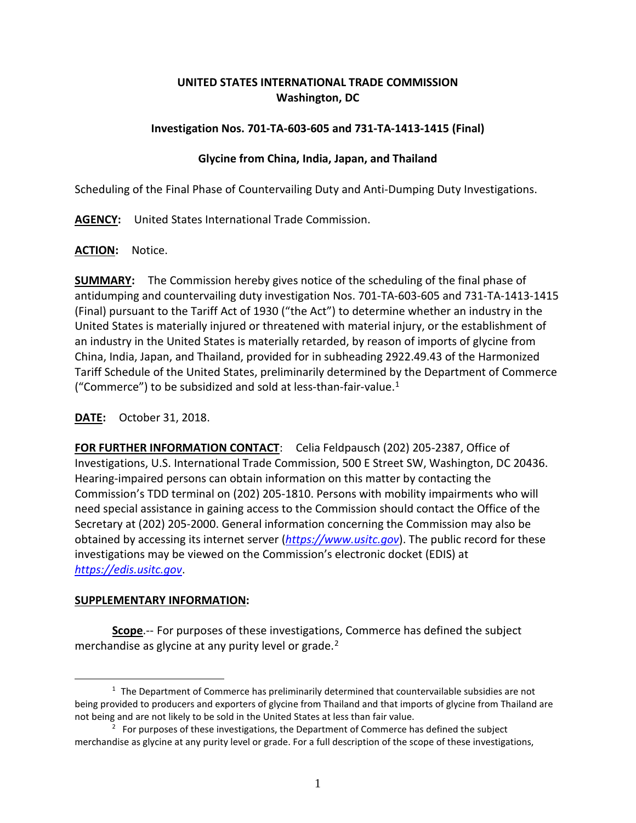## **UNITED STATES INTERNATIONAL TRADE COMMISSION Washington, DC**

#### **Investigation Nos. 701-TA-603-605 and 731-TA-1413-1415 (Final)**

## **Glycine from China, India, Japan, and Thailand**

Scheduling of the Final Phase of Countervailing Duty and Anti-Dumping Duty Investigations.

**AGENCY:** United States International Trade Commission.

#### **ACTION:** Notice.

**SUMMARY:** The Commission hereby gives notice of the scheduling of the final phase of antidumping and countervailing duty investigation Nos. 701-TA-603-605 and 731-TA-1413-1415 (Final) pursuant to the Tariff Act of 1930 ("the Act") to determine whether an industry in the United States is materially injured or threatened with material injury, or the establishment of an industry in the United States is materially retarded, by reason of imports of glycine from China, India, Japan, and Thailand, provided for in subheading 2922.49.43 of the Harmonized Tariff Schedule of the United States, preliminarily determined by the Department of Commerce ("Commerce") to be subsidized and sold at less-than-fair-value. $1$ 

# **DATE:** October 31, 2018.

**FOR FURTHER INFORMATION CONTACT**: Celia Feldpausch (202) 205-2387, Office of Investigations, U.S. International Trade Commission, 500 E Street SW, Washington, DC 20436. Hearing-impaired persons can obtain information on this matter by contacting the Commission's TDD terminal on (202) 205-1810. Persons with mobility impairments who will need special assistance in gaining access to the Commission should contact the Office of the Secretary at (202) 205-2000. General information concerning the Commission may also be obtained by accessing its internet server (*[https://www.usitc.gov](https://www.usitc.gov/)*). The public record for these investigations may be viewed on the Commission's electronic docket (EDIS) at *[https://edis.usitc.gov](https://edis.usitc.gov/)*.

#### **SUPPLEMENTARY INFORMATION:**

 $\overline{a}$ 

**Scope**.-- For purposes of these investigations, Commerce has defined the subject merchandise as glycine at any purity level or grade.<sup>[2](#page-0-1)</sup>

<span id="page-0-0"></span> $1$  The Department of Commerce has preliminarily determined that countervailable subsidies are not being provided to producers and exporters of glycine from Thailand and that imports of glycine from Thailand are not being and are not likely to be sold in the United States at less than fair value.

<span id="page-0-1"></span> $2<sup>2</sup>$  For purposes of these investigations, the Department of Commerce has defined the subject merchandise as glycine at any purity level or grade. For a full description of the scope of these investigations,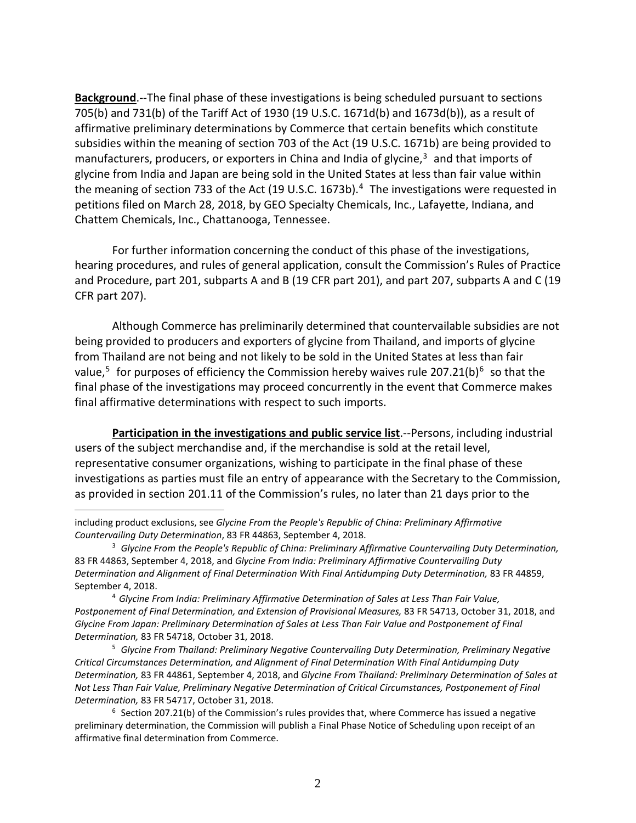**Background**.--The final phase of these investigations is being scheduled pursuant to sections 705(b) and 731(b) of the Tariff Act of 1930 (19 U.S.C. 1671d(b) and 1673d(b)), as a result of affirmative preliminary determinations by Commerce that certain benefits which constitute subsidies within the meaning of section 703 of the Act (19 U.S.C. 1671b) are being provided to manufacturers, producers, or exporters in China and India of glycine, [3](#page-1-0) and that imports of glycine from India and Japan are being sold in the United States at less than fair value within the meaning of section 733 of the Act (19 U.S.C. 1673b).<sup>[4](#page-1-1)</sup> The investigations were requested in petitions filed on March 28, 2018, by GEO Specialty Chemicals, Inc., Lafayette, Indiana, and Chattem Chemicals, Inc., Chattanooga, Tennessee.

For further information concerning the conduct of this phase of the investigations, hearing procedures, and rules of general application, consult the Commission's Rules of Practice and Procedure, part 201, subparts A and B (19 CFR part 201), and part 207, subparts A and C (19 CFR part 207).

Although Commerce has preliminarily determined that countervailable subsidies are not being provided to producers and exporters of glycine from Thailand, and imports of glycine from Thailand are not being and not likely to be sold in the United States at less than fair value,<sup>[5](#page-1-2)</sup> for purposes of efficiency the Commission hereby waives rule 207.21(b)<sup>[6](#page-1-3)</sup> so that the final phase of the investigations may proceed concurrently in the event that Commerce makes final affirmative determinations with respect to such imports.

**Participation in the investigations and public service list**.--Persons, including industrial users of the subject merchandise and, if the merchandise is sold at the retail level, representative consumer organizations, wishing to participate in the final phase of these investigations as parties must file an entry of appearance with the Secretary to the Commission, as provided in section 201.11 of the Commission's rules, no later than 21 days prior to the

 $\overline{a}$ 

<span id="page-1-2"></span><sup>5</sup> *Glycine From Thailand: Preliminary Negative Countervailing Duty Determination, Preliminary Negative Critical Circumstances Determination, and Alignment of Final Determination With Final Antidumping Duty Determination,* 83 FR 44861, September 4, 2018, and *Glycine From Thailand: Preliminary Determination of Sales at Not Less Than Fair Value, Preliminary Negative Determination of Critical Circumstances, Postponement of Final Determination,* 83 FR 54717, October 31, 2018.

<span id="page-1-3"></span> $6$  Section 207.21(b) of the Commission's rules provides that, where Commerce has issued a negative preliminary determination, the Commission will publish a Final Phase Notice of Scheduling upon receipt of an affirmative final determination from Commerce.

including product exclusions, see *Glycine From the People's Republic of China: Preliminary Affirmative Countervailing Duty Determination*, 83 FR 44863, September 4, 2018.

<span id="page-1-0"></span><sup>3</sup> *Glycine From the People's Republic of China: Preliminary Affirmative Countervailing Duty Determination,*  83 FR 44863, September 4, 2018, and *Glycine From India: Preliminary Affirmative Countervailing Duty Determination and Alignment of Final Determination With Final Antidumping Duty Determination,* 83 FR 44859, September 4, 2018.

<span id="page-1-1"></span><sup>4</sup> *Glycine From India: Preliminary Affirmative Determination of Sales at Less Than Fair Value, Postponement of Final Determination, and Extension of Provisional Measures,* 83 FR 54713, October 31, 2018, and *Glycine From Japan: Preliminary Determination of Sales at Less Than Fair Value and Postponement of Final Determination,* 83 FR 54718, October 31, 2018.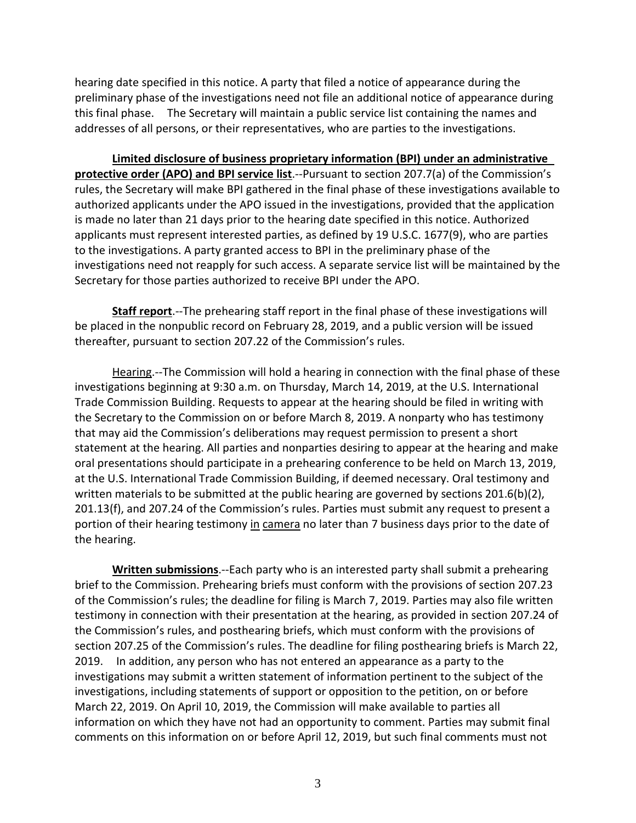hearing date specified in this notice. A party that filed a notice of appearance during the preliminary phase of the investigations need not file an additional notice of appearance during this final phase. The Secretary will maintain a public service list containing the names and addresses of all persons, or their representatives, who are parties to the investigations.

**Limited disclosure of business proprietary information (BPI) under an administrative protective order (APO) and BPI service list**.--Pursuant to section 207.7(a) of the Commission's rules, the Secretary will make BPI gathered in the final phase of these investigations available to authorized applicants under the APO issued in the investigations, provided that the application is made no later than 21 days prior to the hearing date specified in this notice. Authorized applicants must represent interested parties, as defined by 19 U.S.C. 1677(9), who are parties to the investigations. A party granted access to BPI in the preliminary phase of the investigations need not reapply for such access. A separate service list will be maintained by the Secretary for those parties authorized to receive BPI under the APO.

**Staff report**.--The prehearing staff report in the final phase of these investigations will be placed in the nonpublic record on February 28, 2019, and a public version will be issued thereafter, pursuant to section 207.22 of the Commission's rules.

Hearing.--The Commission will hold a hearing in connection with the final phase of these investigations beginning at 9:30 a.m. on Thursday, March 14, 2019, at the U.S. International Trade Commission Building. Requests to appear at the hearing should be filed in writing with the Secretary to the Commission on or before March 8, 2019. A nonparty who has testimony that may aid the Commission's deliberations may request permission to present a short statement at the hearing. All parties and nonparties desiring to appear at the hearing and make oral presentations should participate in a prehearing conference to be held on March 13, 2019, at the U.S. International Trade Commission Building, if deemed necessary. Oral testimony and written materials to be submitted at the public hearing are governed by sections 201.6(b)(2), 201.13(f), and 207.24 of the Commission's rules. Parties must submit any request to present a portion of their hearing testimony in camera no later than 7 business days prior to the date of the hearing.

**Written submissions**.--Each party who is an interested party shall submit a prehearing brief to the Commission. Prehearing briefs must conform with the provisions of section 207.23 of the Commission's rules; the deadline for filing is March 7, 2019. Parties may also file written testimony in connection with their presentation at the hearing, as provided in section 207.24 of the Commission's rules, and posthearing briefs, which must conform with the provisions of section 207.25 of the Commission's rules. The deadline for filing posthearing briefs is March 22, 2019. In addition, any person who has not entered an appearance as a party to the investigations may submit a written statement of information pertinent to the subject of the investigations, including statements of support or opposition to the petition, on or before March 22, 2019. On April 10, 2019, the Commission will make available to parties all information on which they have not had an opportunity to comment. Parties may submit final comments on this information on or before April 12, 2019, but such final comments must not